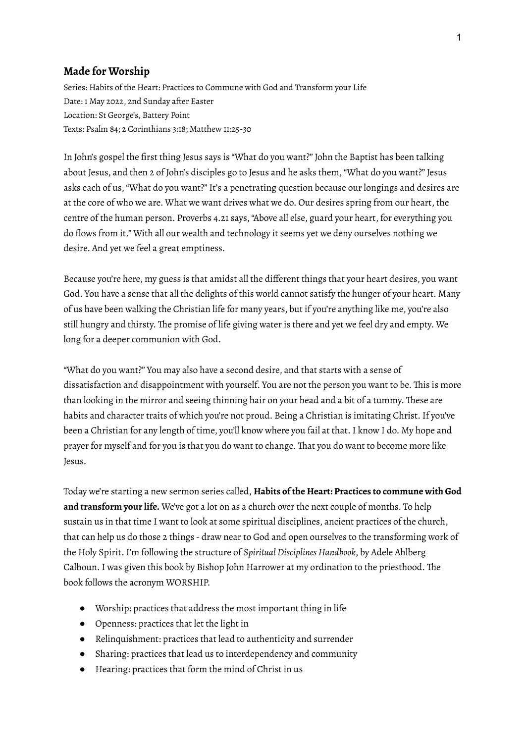## **Made for Worship**

Series: Habits of the Heart: Practices to Commune with God and Transform your Life Date: 1 May 2022, 2nd Sunday after Easter Location: St George's, Battery Point Texts: Psalm 84; 2 Corinthians 3:18; Matthew 11:25-30

In John's gospel the first thing Jesus says is "What do you want?" John the Baptist has been talking about Jesus, and then 2 of John's disciples go to Jesus and he asks them,"What do you want?" Jesus asks each of us, "What do you want?" It's a penetrating question because our longings and desires are at the core of who we are. What we want drives what we do. Our desires spring from our heart, the centre of the human person. Proverbs 4.21 says,"Above all else, guard your heart, for everything you do flows from it." With all our wealth and technology it seems yet we deny ourselves nothing we desire. And yet we feel a great emptiness.

Because you're here, my guess is that amidst all the different things that your heart desires, you want God. You have a sense that all the delights of this world cannot satisfy the hunger of your heart. Many of us have been walking the Christian life for many years, but if you're anything like me, you're also still hungry and thirsty. The promise of life giving water is there and yet we feel dry and empty. We long for a deeper communion with God.

"What do you want?" You may also have a second desire, and that starts with a sense of dissatisfaction and disappointment with yourself. You are not the person you want to be. This is more than looking in the mirror and seeing thinning hair on your head and a bit of a tummy. These are habits and character traits of which you're not proud. Being a Christian is imitating Christ. If you've been a Christian for any length of time, you'll know where you fail at that.I know I do. My hope and prayer for myself and for you is that you do want to change. That you do want to become more like Jesus.

Today we're starting a new sermon series called, **Habits of the Heart: Practices to commune with God and transform your life.** We've got a lot on as a church over the next couple of months. To help sustain us in that time I want to look at some spiritual disciplines, ancient practices of the church, that can help us do those 2 things - draw near to God and open ourselves to the transforming work of the Holy Spirit.I'm following the structure of *SpiritualDisciplines Handbook*, by Adele Ahlberg Calhoun.I was given this book by Bishop John Harrower at my ordination to the priesthood. The book follows the acronym WORSHIP.

- Worship: practices that address the most important thing in life
- Openness: practices that let the light in
- Relinquishment: practices that lead to authenticity and surrender
- Sharing: practices that lead us to interdependency and community
- Hearing: practices that form the mind of Christ in us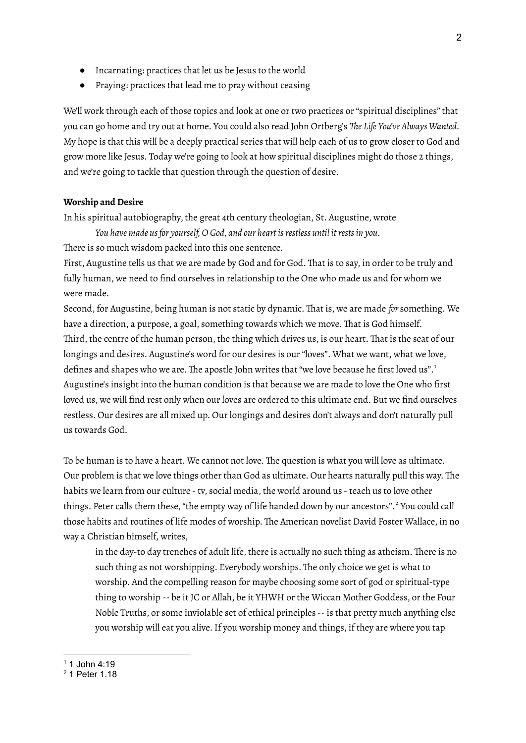- Incarnating: practices that let us be Jesus to the world
- Praying: practices that lead me to pray without ceasing

We'll work through each of those topics and look at one or two practices or "spiritual disciplines" that you can go home and try out at home. You could also read John Ortberg's *The Life You've Always Wanted.* My hope is that this will be a deeply practical series that will help each of us to grow closer to God and grow more like Jesus. Today we're going to look at how spiritual disciplines might do those 2 things, and we're going to tackle that question through the question of desire.

## **Worship andDesire**

In his spiritual autobiography, the great 4th century theologian, St. Augustine, wrote

*You have made usfor yourself, O God, and our heart isrestless until itrestsin you.*

There is so much wisdom packed into this one sentence.

First, Augustine tells us that we are made by God and for God. That is to say, in order to be truly and fully human, we need to find ourselves in relationship to the One who made us and for whom we were made.

Second, for Augustine, being human is not static by dynamic. That is, we are made *for* something. We have a direction, a purpose, a goal, something towards which we move. That is God himself. Third, the centre of the human person, the thing which drives us, is our heart. That is the seat of our longings and desires. Augustine's word for our desires is our"loves". What we want, what we love, defines and shapes who we are. The apostle John writes that "we love because he first loved us".<sup>1</sup> Augustine's insight into the human condition is that because we are made to love the One who first loved us, we will find rest only when our loves are ordered to this ultimate end. But we find ourselves restless. Our desires are all mixed up. Our longings and desires don't always and don't naturally pull us towards God.

To be human is to have a heart. We cannot not love. The question is what you will love as ultimate. Our problem is that we love things other than God as ultimate. Our hearts naturally pull this way. The habits we learn from our culture - tv, social media, the world around us - teach us to love other things. Peter calls them these, "the empty way of life handed down by our ancestors".<sup>2</sup> You could call those habits and routines of life modes of worship. The American novelist David Foster Wallace, in no way a Christian himself, writes,

in the day-to day trenches of adult life, there is actually no such thing as atheism. There is no such thing as not worshipping. Everybody worships. The only choice we get is what to worship. And the compelling reason for maybe choosing some sort of god or spiritual-type thing to worship -- be it JC or Allah, be it YHWH or the Wiccan Mother Goddess, or the Four Noble Truths, or some inviolable set of ethical principles -- is that pretty much anything else you worship will eat you alive. If you worship money and things, if they are where you tap

 $1$  1 John 4:19

<sup>2</sup> 1 Peter 1.18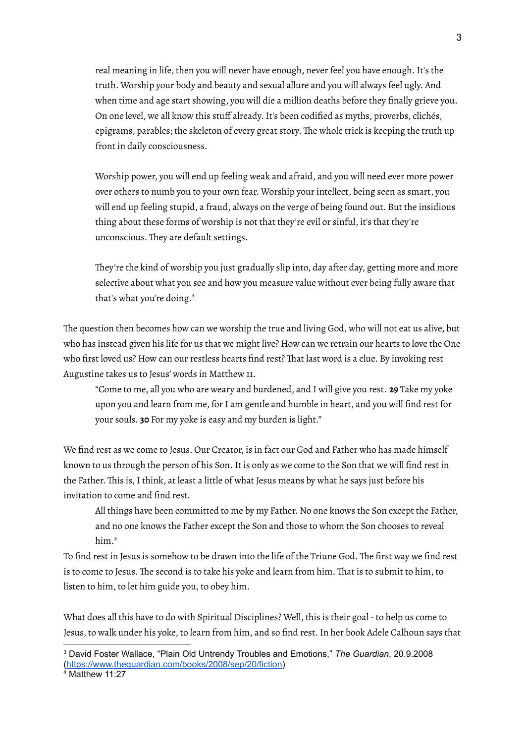real meaning in life, then you will never have enough, never feel you have enough.It's the truth. Worship your body and beauty and sexual allure and you will always feel ugly. And when time and age start showing, you will die a million deaths before they finally grieve you. On one level, we all know this stuff already.It's been codified as myths, proverbs, clichés, epigrams, parables; the skeleton of every great story. The whole trick is keeping the truth up front in daily consciousness.

Worship power, you will end up feeling weak and afraid, and you will need ever more power over others to numb you to your own fear. Worship your intellect, being seen as smart, you will end up feeling stupid, a fraud, always on the verge of being found out. But the insidious thing about these forms of worship is not that they're evil or sinful, it's that they're unconscious. They are default settings.

They're the kind of worship you just gradually slip into, day after day, getting more and more selective about what you see and how you measure value without ever being fully aware that that's what you're doing. 3

The question then becomes how can we worship the true and living God, who will not eat us alive, but who has instead given his life for us that we might live? How can we retrain our hearts to love the One who first loved us? How can our restless hearts find rest? That last word is a clue. By invoking rest Augustine takes us to Jesus' words in Matthew 11.

"Come to me, all you who are weary and burdened, and I will give you rest. **29** Take my yoke upon you and learn from me, for I am gentle and humble in heart, and you will find rest for your souls. **30** For my yoke is easy and my burden is light."

We find rest as we come to Jesus. Our Creator, is in fact our God and Father who has made himself known to us through the person of his Son. It is only as we come to the Son that we will find rest in the Father. This is,I think, at least a little of what Jesus means by what he says just before his invitation to come and find rest.

All things have been committed to me by my Father. No one knows the Son except the Father, and no one knows the Father except the Son and those to whom the Son chooses to reveal him. 4

To find rest in Jesus is somehow to be drawn into the life of the Triune God. The first way we find rest is to come to Jesus. The second is to take his yoke and learn from him. That is to submit to him, to listen to him, to let him guide you, to obey him.

What does all this have to do with Spiritual Disciplines? Well, this is their goal-to help us come to Jesus, to walk under his yoke, to learn from him, and so find rest.In her book Adele Calhoun says that

<sup>3</sup> David Foster Wallace, "Plain Old Untrendy Troubles and Emotions," *The Guardian*, 20.9.2008 [\(https://www.theguardian.com/books/2008/sep/20/fiction\)](https://www.theguardian.com/books/2008/sep/20/fiction)

 $4$  Matthew 11:27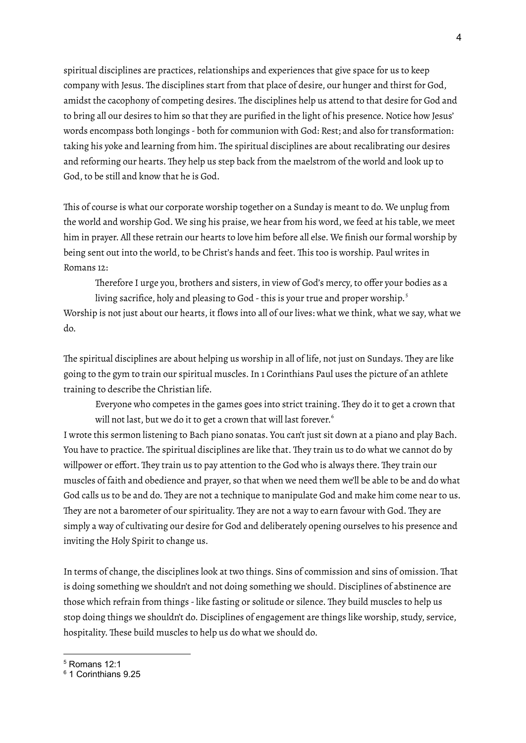spiritual disciplines are practices, relationships and experiences that give space for us to keep company with Jesus. The disciplines start from that place of desire, our hunger and thirst for God, amidst the cacophony of competing desires. The disciplines help us attend to that desire for God and to bring all our desires to him so that they are purified in the light of his presence. Notice how Jesus' words encompass both longings - both for communion with God: Rest; and also for transformation: taking his yoke and learning from him. The spiritual disciplines are about recalibrating our desires and reforming our hearts. They help us step back from the maelstrom of the world and look up to God, to be still and know that he is God.

This of course is what our corporate worship together on a Sunday is meant to do. We unplug from the world and worship God. We sing his praise, we hear from his word, we feed at his table, we meet him in prayer. All these retrain our hearts to love him before all else. We finish our formal worship by being sent out into the world, to be Christ's hands and feet. This too is worship. Paul writes in Romans 12:

Therefore I urge you, brothers and sisters, in view of God's mercy, to offer your bodies as a

living sacrifice, holy and pleasing to God - this is your true and proper worship. $^{\mathrm{s}}$ Worship is not just about our hearts, it flows into all of our lives: what we think, what we say, what we do.

The spiritual disciplines are about helping us worship in all of life, not just on Sundays. They are like going to the gym to train our spiritual muscles.In 1 Corinthians Paul uses the picture of an athlete training to describe the Christian life.

Everyone who competes in the games goes into strict training. They do it to get a crown that will not last, but we do it to get a crown that will last forever. 6

I wrote this sermon listening to Bach piano sonatas. You can't just sit down at a piano and play Bach. You have to practice. The spiritual disciplines are like that. They train us to do what we cannot do by willpower or effort. They train us to pay attention to the God who is always there. They train our muscles of faith and obedience and prayer, so that when we need them we'll be able to be and do what God calls us to be and do. They are not a technique to manipulate God and make him come near to us. They are not a barometer of our spirituality. They are not a way to earn favour with God. They are simply a way of cultivating our desire for God and deliberately opening ourselves to his presence and inviting the Holy Spirit to change us.

In terms of change, the disciplines look at two things. Sins of commission and sins of omission. That is doing something we shouldn't and not doing something we should. Disciplines of abstinence are those which refrain from things - like fasting or solitude or silence. They build muscles to help us stop doing things we shouldn't do. Disciplines of engagement are things like worship, study, service, hospitality. These build muscles to help us do what we should do.

<sup>5</sup> Romans 12:1

<sup>6</sup> 1 Corinthians 9.25